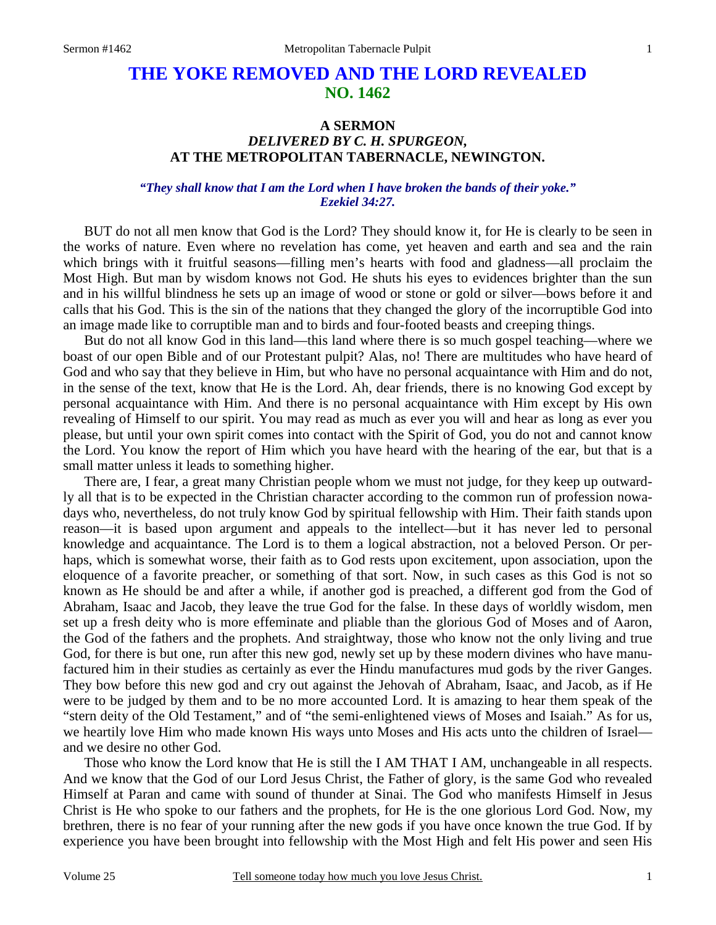# **THE YOKE REMOVED AND THE LORD REVEALED NO. 1462**

# **A SERMON**  *DELIVERED BY C. H. SPURGEON,*  **AT THE METROPOLITAN TABERNACLE, NEWINGTON.**

### *"They shall know that I am the Lord when I have broken the bands of their yoke." Ezekiel 34:27.*

BUT do not all men know that God is the Lord? They should know it, for He is clearly to be seen in the works of nature. Even where no revelation has come, yet heaven and earth and sea and the rain which brings with it fruitful seasons—filling men's hearts with food and gladness—all proclaim the Most High. But man by wisdom knows not God. He shuts his eyes to evidences brighter than the sun and in his willful blindness he sets up an image of wood or stone or gold or silver—bows before it and calls that his God. This is the sin of the nations that they changed the glory of the incorruptible God into an image made like to corruptible man and to birds and four-footed beasts and creeping things.

 But do not all know God in this land—this land where there is so much gospel teaching—where we boast of our open Bible and of our Protestant pulpit? Alas, no! There are multitudes who have heard of God and who say that they believe in Him, but who have no personal acquaintance with Him and do not, in the sense of the text, know that He is the Lord. Ah, dear friends, there is no knowing God except by personal acquaintance with Him. And there is no personal acquaintance with Him except by His own revealing of Himself to our spirit. You may read as much as ever you will and hear as long as ever you please, but until your own spirit comes into contact with the Spirit of God, you do not and cannot know the Lord. You know the report of Him which you have heard with the hearing of the ear, but that is a small matter unless it leads to something higher.

 There are, I fear, a great many Christian people whom we must not judge, for they keep up outwardly all that is to be expected in the Christian character according to the common run of profession nowadays who, nevertheless, do not truly know God by spiritual fellowship with Him. Their faith stands upon reason—it is based upon argument and appeals to the intellect—but it has never led to personal knowledge and acquaintance. The Lord is to them a logical abstraction, not a beloved Person. Or perhaps, which is somewhat worse, their faith as to God rests upon excitement, upon association, upon the eloquence of a favorite preacher, or something of that sort. Now, in such cases as this God is not so known as He should be and after a while, if another god is preached, a different god from the God of Abraham, Isaac and Jacob, they leave the true God for the false. In these days of worldly wisdom, men set up a fresh deity who is more effeminate and pliable than the glorious God of Moses and of Aaron, the God of the fathers and the prophets. And straightway, those who know not the only living and true God, for there is but one, run after this new god, newly set up by these modern divines who have manufactured him in their studies as certainly as ever the Hindu manufactures mud gods by the river Ganges. They bow before this new god and cry out against the Jehovah of Abraham, Isaac, and Jacob, as if He were to be judged by them and to be no more accounted Lord. It is amazing to hear them speak of the "stern deity of the Old Testament," and of "the semi-enlightened views of Moses and Isaiah." As for us, we heartily love Him who made known His ways unto Moses and His acts unto the children of Israel and we desire no other God.

 Those who know the Lord know that He is still the I AM THAT I AM, unchangeable in all respects. And we know that the God of our Lord Jesus Christ, the Father of glory, is the same God who revealed Himself at Paran and came with sound of thunder at Sinai. The God who manifests Himself in Jesus Christ is He who spoke to our fathers and the prophets, for He is the one glorious Lord God. Now, my brethren, there is no fear of your running after the new gods if you have once known the true God. If by experience you have been brought into fellowship with the Most High and felt His power and seen His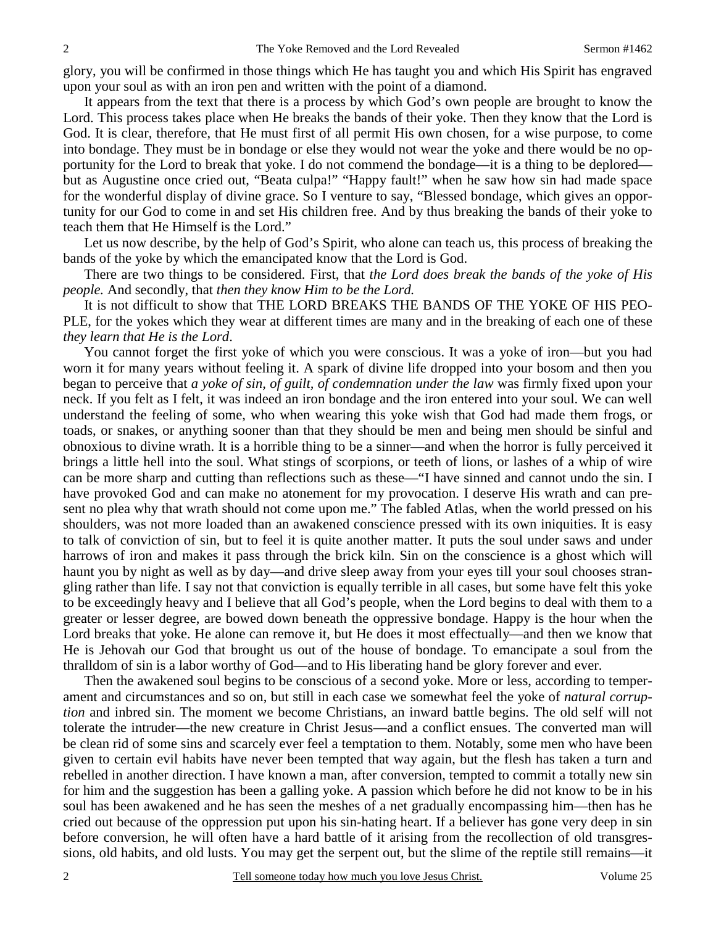glory, you will be confirmed in those things which He has taught you and which His Spirit has engraved upon your soul as with an iron pen and written with the point of a diamond.

 It appears from the text that there is a process by which God's own people are brought to know the Lord. This process takes place when He breaks the bands of their yoke. Then they know that the Lord is God. It is clear, therefore, that He must first of all permit His own chosen, for a wise purpose, to come into bondage. They must be in bondage or else they would not wear the yoke and there would be no opportunity for the Lord to break that yoke. I do not commend the bondage—it is a thing to be deplored but as Augustine once cried out, "Beata culpa!" "Happy fault!" when he saw how sin had made space for the wonderful display of divine grace. So I venture to say, "Blessed bondage, which gives an opportunity for our God to come in and set His children free. And by thus breaking the bands of their yoke to teach them that He Himself is the Lord."

 Let us now describe, by the help of God's Spirit, who alone can teach us, this process of breaking the bands of the yoke by which the emancipated know that the Lord is God.

 There are two things to be considered. First, that *the Lord does break the bands of the yoke of His people.* And secondly, that *then they know Him to be the Lord.* 

It is not difficult to show that THE LORD BREAKS THE BANDS OF THE YOKE OF HIS PEO-PLE, for the yokes which they wear at different times are many and in the breaking of each one of these *they learn that He is the Lord*.

 You cannot forget the first yoke of which you were conscious. It was a yoke of iron—but you had worn it for many years without feeling it. A spark of divine life dropped into your bosom and then you began to perceive that *a yoke of sin, of guilt, of condemnation under the law* was firmly fixed upon your neck. If you felt as I felt, it was indeed an iron bondage and the iron entered into your soul. We can well understand the feeling of some, who when wearing this yoke wish that God had made them frogs, or toads, or snakes, or anything sooner than that they should be men and being men should be sinful and obnoxious to divine wrath. It is a horrible thing to be a sinner—and when the horror is fully perceived it brings a little hell into the soul. What stings of scorpions, or teeth of lions, or lashes of a whip of wire can be more sharp and cutting than reflections such as these—"I have sinned and cannot undo the sin. I have provoked God and can make no atonement for my provocation. I deserve His wrath and can present no plea why that wrath should not come upon me." The fabled Atlas, when the world pressed on his shoulders, was not more loaded than an awakened conscience pressed with its own iniquities. It is easy to talk of conviction of sin, but to feel it is quite another matter. It puts the soul under saws and under harrows of iron and makes it pass through the brick kiln. Sin on the conscience is a ghost which will haunt you by night as well as by day—and drive sleep away from your eyes till your soul chooses strangling rather than life. I say not that conviction is equally terrible in all cases, but some have felt this yoke to be exceedingly heavy and I believe that all God's people, when the Lord begins to deal with them to a greater or lesser degree, are bowed down beneath the oppressive bondage. Happy is the hour when the Lord breaks that yoke. He alone can remove it, but He does it most effectually—and then we know that He is Jehovah our God that brought us out of the house of bondage. To emancipate a soul from the thralldom of sin is a labor worthy of God—and to His liberating hand be glory forever and ever.

 Then the awakened soul begins to be conscious of a second yoke. More or less, according to temperament and circumstances and so on, but still in each case we somewhat feel the yoke of *natural corruption* and inbred sin. The moment we become Christians, an inward battle begins. The old self will not tolerate the intruder—the new creature in Christ Jesus—and a conflict ensues. The converted man will be clean rid of some sins and scarcely ever feel a temptation to them. Notably, some men who have been given to certain evil habits have never been tempted that way again, but the flesh has taken a turn and rebelled in another direction. I have known a man, after conversion, tempted to commit a totally new sin for him and the suggestion has been a galling yoke. A passion which before he did not know to be in his soul has been awakened and he has seen the meshes of a net gradually encompassing him—then has he cried out because of the oppression put upon his sin-hating heart. If a believer has gone very deep in sin before conversion, he will often have a hard battle of it arising from the recollection of old transgressions, old habits, and old lusts. You may get the serpent out, but the slime of the reptile still remains—it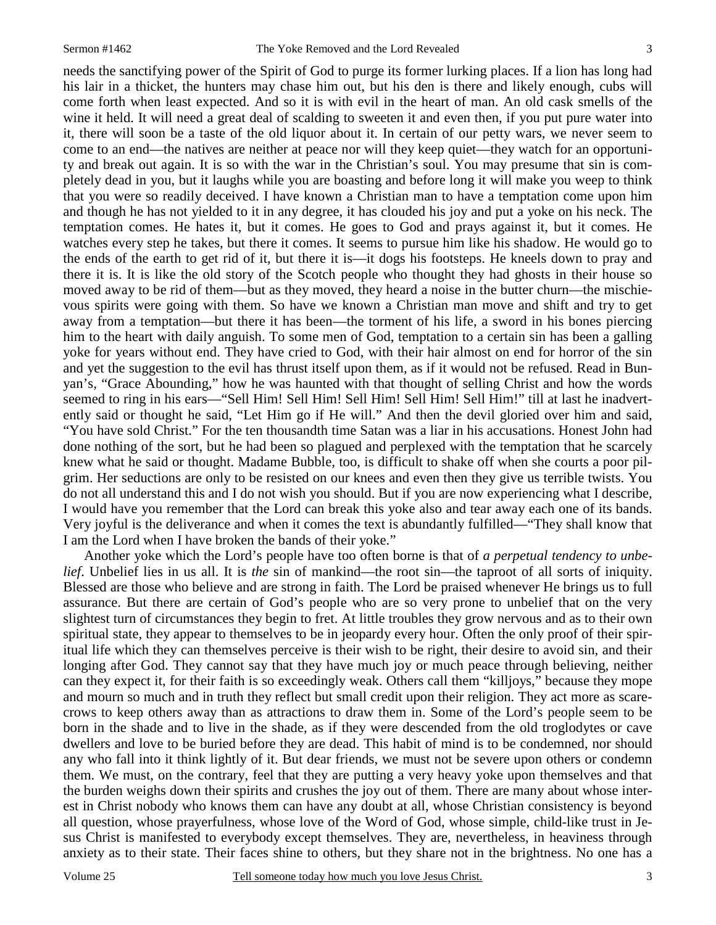needs the sanctifying power of the Spirit of God to purge its former lurking places. If a lion has long had his lair in a thicket, the hunters may chase him out, but his den is there and likely enough, cubs will come forth when least expected. And so it is with evil in the heart of man. An old cask smells of the wine it held. It will need a great deal of scalding to sweeten it and even then, if you put pure water into it, there will soon be a taste of the old liquor about it. In certain of our petty wars, we never seem to come to an end—the natives are neither at peace nor will they keep quiet—they watch for an opportunity and break out again. It is so with the war in the Christian's soul. You may presume that sin is completely dead in you, but it laughs while you are boasting and before long it will make you weep to think that you were so readily deceived. I have known a Christian man to have a temptation come upon him and though he has not yielded to it in any degree, it has clouded his joy and put a yoke on his neck. The temptation comes. He hates it, but it comes. He goes to God and prays against it, but it comes. He watches every step he takes, but there it comes. It seems to pursue him like his shadow. He would go to the ends of the earth to get rid of it, but there it is—it dogs his footsteps. He kneels down to pray and there it is. It is like the old story of the Scotch people who thought they had ghosts in their house so moved away to be rid of them—but as they moved, they heard a noise in the butter churn—the mischievous spirits were going with them. So have we known a Christian man move and shift and try to get away from a temptation—but there it has been—the torment of his life, a sword in his bones piercing him to the heart with daily anguish. To some men of God, temptation to a certain sin has been a galling yoke for years without end. They have cried to God, with their hair almost on end for horror of the sin and yet the suggestion to the evil has thrust itself upon them, as if it would not be refused. Read in Bunyan's, "Grace Abounding," how he was haunted with that thought of selling Christ and how the words seemed to ring in his ears—"Sell Him! Sell Him! Sell Him! Sell Him! Sell Him!" till at last he inadvertently said or thought he said, "Let Him go if He will." And then the devil gloried over him and said, "You have sold Christ." For the ten thousandth time Satan was a liar in his accusations. Honest John had done nothing of the sort, but he had been so plagued and perplexed with the temptation that he scarcely knew what he said or thought. Madame Bubble, too, is difficult to shake off when she courts a poor pilgrim. Her seductions are only to be resisted on our knees and even then they give us terrible twists. You do not all understand this and I do not wish you should. But if you are now experiencing what I describe, I would have you remember that the Lord can break this yoke also and tear away each one of its bands. Very joyful is the deliverance and when it comes the text is abundantly fulfilled—"They shall know that I am the Lord when I have broken the bands of their yoke."

 Another yoke which the Lord's people have too often borne is that of *a perpetual tendency to unbelief*. Unbelief lies in us all. It is *the* sin of mankind—the root sin—the taproot of all sorts of iniquity. Blessed are those who believe and are strong in faith. The Lord be praised whenever He brings us to full assurance. But there are certain of God's people who are so very prone to unbelief that on the very slightest turn of circumstances they begin to fret. At little troubles they grow nervous and as to their own spiritual state, they appear to themselves to be in jeopardy every hour. Often the only proof of their spiritual life which they can themselves perceive is their wish to be right, their desire to avoid sin, and their longing after God. They cannot say that they have much joy or much peace through believing, neither can they expect it, for their faith is so exceedingly weak. Others call them "killjoys," because they mope and mourn so much and in truth they reflect but small credit upon their religion. They act more as scarecrows to keep others away than as attractions to draw them in. Some of the Lord's people seem to be born in the shade and to live in the shade, as if they were descended from the old troglodytes or cave dwellers and love to be buried before they are dead. This habit of mind is to be condemned, nor should any who fall into it think lightly of it. But dear friends, we must not be severe upon others or condemn them. We must, on the contrary, feel that they are putting a very heavy yoke upon themselves and that the burden weighs down their spirits and crushes the joy out of them. There are many about whose interest in Christ nobody who knows them can have any doubt at all, whose Christian consistency is beyond all question, whose prayerfulness, whose love of the Word of God, whose simple, child-like trust in Jesus Christ is manifested to everybody except themselves. They are, nevertheless, in heaviness through anxiety as to their state. Their faces shine to others, but they share not in the brightness. No one has a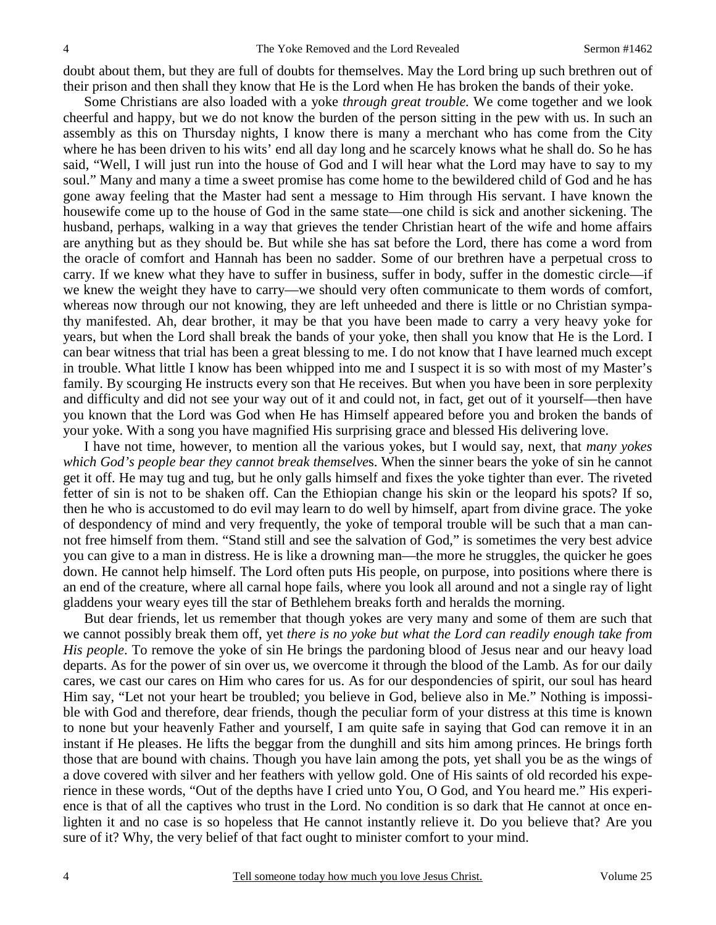doubt about them, but they are full of doubts for themselves. May the Lord bring up such brethren out of their prison and then shall they know that He is the Lord when He has broken the bands of their yoke.

 Some Christians are also loaded with a yoke *through great trouble.* We come together and we look cheerful and happy, but we do not know the burden of the person sitting in the pew with us. In such an assembly as this on Thursday nights, I know there is many a merchant who has come from the City where he has been driven to his wits' end all day long and he scarcely knows what he shall do. So he has said, "Well, I will just run into the house of God and I will hear what the Lord may have to say to my soul." Many and many a time a sweet promise has come home to the bewildered child of God and he has gone away feeling that the Master had sent a message to Him through His servant. I have known the housewife come up to the house of God in the same state—one child is sick and another sickening. The husband, perhaps, walking in a way that grieves the tender Christian heart of the wife and home affairs are anything but as they should be. But while she has sat before the Lord, there has come a word from the oracle of comfort and Hannah has been no sadder. Some of our brethren have a perpetual cross to carry. If we knew what they have to suffer in business, suffer in body, suffer in the domestic circle—if we knew the weight they have to carry—we should very often communicate to them words of comfort, whereas now through our not knowing, they are left unheeded and there is little or no Christian sympathy manifested. Ah, dear brother, it may be that you have been made to carry a very heavy yoke for years, but when the Lord shall break the bands of your yoke, then shall you know that He is the Lord. I can bear witness that trial has been a great blessing to me. I do not know that I have learned much except in trouble. What little I know has been whipped into me and I suspect it is so with most of my Master's family. By scourging He instructs every son that He receives. But when you have been in sore perplexity and difficulty and did not see your way out of it and could not, in fact, get out of it yourself—then have you known that the Lord was God when He has Himself appeared before you and broken the bands of your yoke. With a song you have magnified His surprising grace and blessed His delivering love.

 I have not time, however, to mention all the various yokes, but I would say, next, that *many yokes which God's people bear they cannot break themselve*s. When the sinner bears the yoke of sin he cannot get it off. He may tug and tug, but he only galls himself and fixes the yoke tighter than ever. The riveted fetter of sin is not to be shaken off. Can the Ethiopian change his skin or the leopard his spots? If so, then he who is accustomed to do evil may learn to do well by himself, apart from divine grace. The yoke of despondency of mind and very frequently, the yoke of temporal trouble will be such that a man cannot free himself from them. "Stand still and see the salvation of God," is sometimes the very best advice you can give to a man in distress. He is like a drowning man—the more he struggles, the quicker he goes down. He cannot help himself. The Lord often puts His people, on purpose, into positions where there is an end of the creature, where all carnal hope fails, where you look all around and not a single ray of light gladdens your weary eyes till the star of Bethlehem breaks forth and heralds the morning.

 But dear friends, let us remember that though yokes are very many and some of them are such that we cannot possibly break them off, yet *there is no yoke but what the Lord can readily enough take from His people*. To remove the yoke of sin He brings the pardoning blood of Jesus near and our heavy load departs. As for the power of sin over us, we overcome it through the blood of the Lamb. As for our daily cares, we cast our cares on Him who cares for us. As for our despondencies of spirit, our soul has heard Him say, "Let not your heart be troubled; you believe in God, believe also in Me." Nothing is impossible with God and therefore, dear friends, though the peculiar form of your distress at this time is known to none but your heavenly Father and yourself, I am quite safe in saying that God can remove it in an instant if He pleases. He lifts the beggar from the dunghill and sits him among princes. He brings forth those that are bound with chains. Though you have lain among the pots, yet shall you be as the wings of a dove covered with silver and her feathers with yellow gold. One of His saints of old recorded his experience in these words, "Out of the depths have I cried unto You, O God, and You heard me." His experience is that of all the captives who trust in the Lord. No condition is so dark that He cannot at once enlighten it and no case is so hopeless that He cannot instantly relieve it. Do you believe that? Are you sure of it? Why, the very belief of that fact ought to minister comfort to your mind.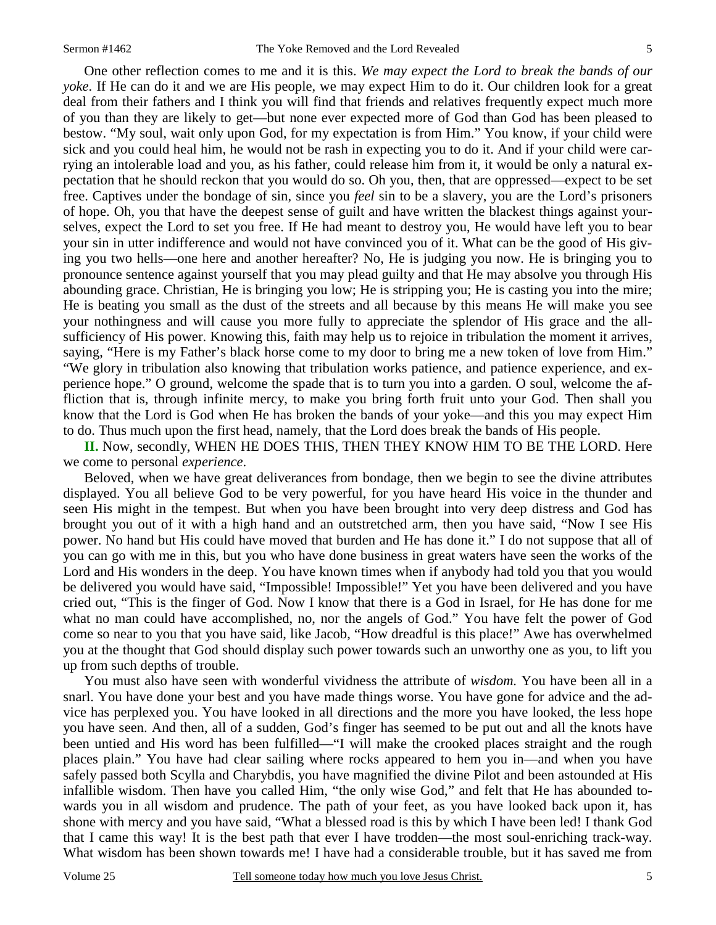One other reflection comes to me and it is this. *We may expect the Lord to break the bands of our yoke*. If He can do it and we are His people, we may expect Him to do it. Our children look for a great deal from their fathers and I think you will find that friends and relatives frequently expect much more of you than they are likely to get—but none ever expected more of God than God has been pleased to bestow. "My soul, wait only upon God, for my expectation is from Him." You know, if your child were sick and you could heal him, he would not be rash in expecting you to do it. And if your child were carrying an intolerable load and you, as his father, could release him from it, it would be only a natural expectation that he should reckon that you would do so. Oh you, then, that are oppressed—expect to be set free. Captives under the bondage of sin, since you *feel* sin to be a slavery, you are the Lord's prisoners of hope. Oh, you that have the deepest sense of guilt and have written the blackest things against yourselves, expect the Lord to set you free. If He had meant to destroy you, He would have left you to bear your sin in utter indifference and would not have convinced you of it. What can be the good of His giving you two hells—one here and another hereafter? No, He is judging you now. He is bringing you to pronounce sentence against yourself that you may plead guilty and that He may absolve you through His abounding grace. Christian, He is bringing you low; He is stripping you; He is casting you into the mire; He is beating you small as the dust of the streets and all because by this means He will make you see your nothingness and will cause you more fully to appreciate the splendor of His grace and the allsufficiency of His power. Knowing this, faith may help us to rejoice in tribulation the moment it arrives, saying, "Here is my Father's black horse come to my door to bring me a new token of love from Him." "We glory in tribulation also knowing that tribulation works patience, and patience experience, and experience hope." O ground, welcome the spade that is to turn you into a garden. O soul, welcome the affliction that is, through infinite mercy, to make you bring forth fruit unto your God. Then shall you know that the Lord is God when He has broken the bands of your yoke—and this you may expect Him to do. Thus much upon the first head, namely, that the Lord does break the bands of His people.

**II.** Now, secondly, WHEN HE DOES THIS, THEN THEY KNOW HIM TO BE THE LORD. Here we come to personal *experience*.

 Beloved, when we have great deliverances from bondage, then we begin to see the divine attributes displayed. You all believe God to be very powerful, for you have heard His voice in the thunder and seen His might in the tempest. But when you have been brought into very deep distress and God has brought you out of it with a high hand and an outstretched arm, then you have said, "Now I see His power. No hand but His could have moved that burden and He has done it." I do not suppose that all of you can go with me in this, but you who have done business in great waters have seen the works of the Lord and His wonders in the deep. You have known times when if anybody had told you that you would be delivered you would have said, "Impossible! Impossible!" Yet you have been delivered and you have cried out, "This is the finger of God. Now I know that there is a God in Israel, for He has done for me what no man could have accomplished, no, nor the angels of God." You have felt the power of God come so near to you that you have said, like Jacob, "How dreadful is this place!" Awe has overwhelmed you at the thought that God should display such power towards such an unworthy one as you, to lift you up from such depths of trouble.

 You must also have seen with wonderful vividness the attribute of *wisdom.* You have been all in a snarl. You have done your best and you have made things worse. You have gone for advice and the advice has perplexed you. You have looked in all directions and the more you have looked, the less hope you have seen. And then, all of a sudden, God's finger has seemed to be put out and all the knots have been untied and His word has been fulfilled—"I will make the crooked places straight and the rough places plain." You have had clear sailing where rocks appeared to hem you in—and when you have safely passed both Scylla and Charybdis, you have magnified the divine Pilot and been astounded at His infallible wisdom. Then have you called Him, "the only wise God," and felt that He has abounded towards you in all wisdom and prudence. The path of your feet, as you have looked back upon it, has shone with mercy and you have said, "What a blessed road is this by which I have been led! I thank God that I came this way! It is the best path that ever I have trodden—the most soul-enriching track-way. What wisdom has been shown towards me! I have had a considerable trouble, but it has saved me from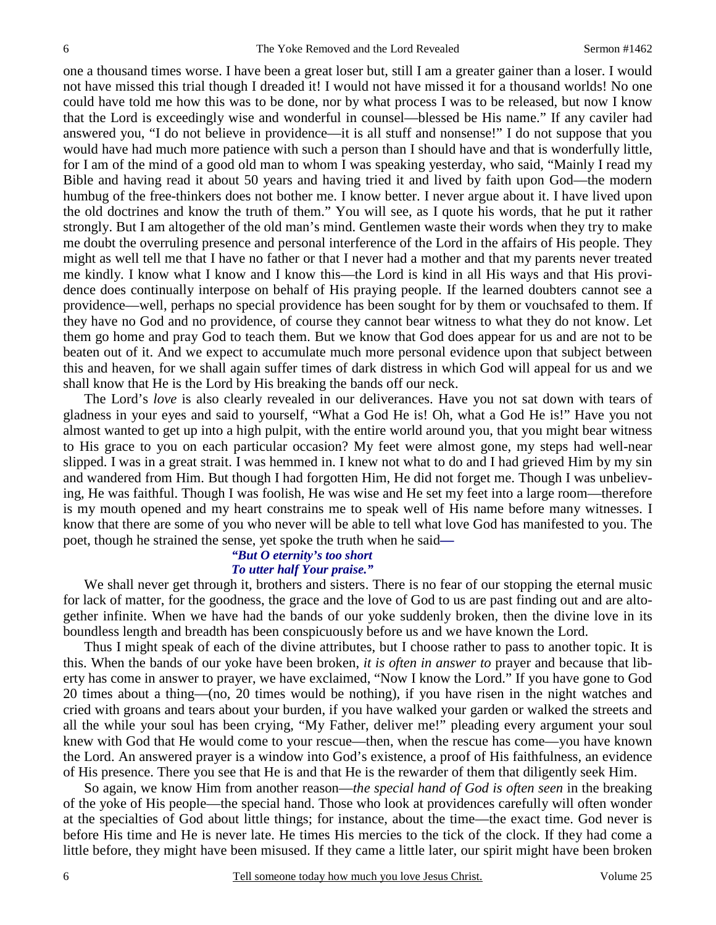one a thousand times worse. I have been a great loser but, still I am a greater gainer than a loser. I would not have missed this trial though I dreaded it! I would not have missed it for a thousand worlds! No one could have told me how this was to be done, nor by what process I was to be released, but now I know that the Lord is exceedingly wise and wonderful in counsel—blessed be His name." If any caviler had answered you, "I do not believe in providence—it is all stuff and nonsense!" I do not suppose that you would have had much more patience with such a person than I should have and that is wonderfully little, for I am of the mind of a good old man to whom I was speaking yesterday, who said, "Mainly I read my Bible and having read it about 50 years and having tried it and lived by faith upon God—the modern humbug of the free-thinkers does not bother me. I know better. I never argue about it. I have lived upon the old doctrines and know the truth of them." You will see, as I quote his words, that he put it rather strongly. But I am altogether of the old man's mind. Gentlemen waste their words when they try to make me doubt the overruling presence and personal interference of the Lord in the affairs of His people. They might as well tell me that I have no father or that I never had a mother and that my parents never treated me kindly. I know what I know and I know this—the Lord is kind in all His ways and that His providence does continually interpose on behalf of His praying people. If the learned doubters cannot see a providence—well, perhaps no special providence has been sought for by them or vouchsafed to them. If they have no God and no providence, of course they cannot bear witness to what they do not know. Let them go home and pray God to teach them. But we know that God does appear for us and are not to be beaten out of it. And we expect to accumulate much more personal evidence upon that subject between this and heaven, for we shall again suffer times of dark distress in which God will appeal for us and we shall know that He is the Lord by His breaking the bands off our neck.

 The Lord's *love* is also clearly revealed in our deliverances. Have you not sat down with tears of gladness in your eyes and said to yourself, "What a God He is! Oh, what a God He is!" Have you not almost wanted to get up into a high pulpit, with the entire world around you, that you might bear witness to His grace to you on each particular occasion? My feet were almost gone, my steps had well-near slipped. I was in a great strait. I was hemmed in. I knew not what to do and I had grieved Him by my sin and wandered from Him. But though I had forgotten Him, He did not forget me. Though I was unbelieving, He was faithful. Though I was foolish, He was wise and He set my feet into a large room—therefore is my mouth opened and my heart constrains me to speak well of His name before many witnesses. I know that there are some of you who never will be able to tell what love God has manifested to you. The poet, though he strained the sense, yet spoke the truth when he said*—*

#### *"But O eternity's too short To utter half Your praise."*

 We shall never get through it, brothers and sisters. There is no fear of our stopping the eternal music for lack of matter, for the goodness, the grace and the love of God to us are past finding out and are altogether infinite. When we have had the bands of our yoke suddenly broken, then the divine love in its boundless length and breadth has been conspicuously before us and we have known the Lord.

 Thus I might speak of each of the divine attributes, but I choose rather to pass to another topic. It is this. When the bands of our yoke have been broken, *it is often in answer to* prayer and because that liberty has come in answer to prayer, we have exclaimed, "Now I know the Lord." If you have gone to God 20 times about a thing—(no, 20 times would be nothing), if you have risen in the night watches and cried with groans and tears about your burden, if you have walked your garden or walked the streets and all the while your soul has been crying, "My Father, deliver me!" pleading every argument your soul knew with God that He would come to your rescue—then, when the rescue has come—you have known the Lord. An answered prayer is a window into God's existence, a proof of His faithfulness, an evidence of His presence. There you see that He is and that He is the rewarder of them that diligently seek Him.

 So again, we know Him from another reason—*the special hand of God is often seen* in the breaking of the yoke of His people—the special hand. Those who look at providences carefully will often wonder at the specialties of God about little things; for instance, about the time—the exact time. God never is before His time and He is never late. He times His mercies to the tick of the clock. If they had come a little before, they might have been misused. If they came a little later, our spirit might have been broken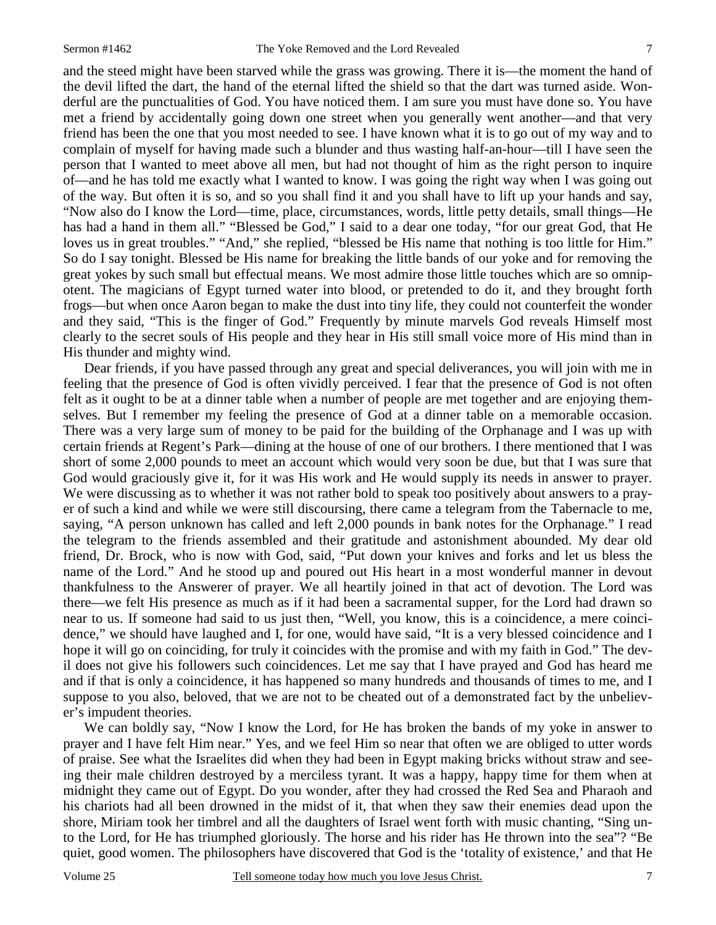and the steed might have been starved while the grass was growing. There it is—the moment the hand of the devil lifted the dart, the hand of the eternal lifted the shield so that the dart was turned aside. Wonderful are the punctualities of God. You have noticed them. I am sure you must have done so. You have met a friend by accidentally going down one street when you generally went another—and that very friend has been the one that you most needed to see. I have known what it is to go out of my way and to complain of myself for having made such a blunder and thus wasting half-an-hour—till I have seen the person that I wanted to meet above all men, but had not thought of him as the right person to inquire of—and he has told me exactly what I wanted to know. I was going the right way when I was going out of the way. But often it is so, and so you shall find it and you shall have to lift up your hands and say, "Now also do I know the Lord—time, place, circumstances, words, little petty details, small things—He has had a hand in them all." "Blessed be God," I said to a dear one today, "for our great God, that He loves us in great troubles." "And," she replied, "blessed be His name that nothing is too little for Him." So do I say tonight. Blessed be His name for breaking the little bands of our yoke and for removing the great yokes by such small but effectual means. We most admire those little touches which are so omnipotent. The magicians of Egypt turned water into blood, or pretended to do it, and they brought forth frogs—but when once Aaron began to make the dust into tiny life, they could not counterfeit the wonder and they said, "This is the finger of God." Frequently by minute marvels God reveals Himself most clearly to the secret souls of His people and they hear in His still small voice more of His mind than in His thunder and mighty wind.

 Dear friends, if you have passed through any great and special deliverances, you will join with me in feeling that the presence of God is often vividly perceived. I fear that the presence of God is not often felt as it ought to be at a dinner table when a number of people are met together and are enjoying themselves. But I remember my feeling the presence of God at a dinner table on a memorable occasion. There was a very large sum of money to be paid for the building of the Orphanage and I was up with certain friends at Regent's Park—dining at the house of one of our brothers. I there mentioned that I was short of some 2,000 pounds to meet an account which would very soon be due, but that I was sure that God would graciously give it, for it was His work and He would supply its needs in answer to prayer. We were discussing as to whether it was not rather bold to speak too positively about answers to a prayer of such a kind and while we were still discoursing, there came a telegram from the Tabernacle to me, saying, "A person unknown has called and left 2,000 pounds in bank notes for the Orphanage." I read the telegram to the friends assembled and their gratitude and astonishment abounded. My dear old friend, Dr. Brock, who is now with God, said, "Put down your knives and forks and let us bless the name of the Lord." And he stood up and poured out His heart in a most wonderful manner in devout thankfulness to the Answerer of prayer. We all heartily joined in that act of devotion. The Lord was there—we felt His presence as much as if it had been a sacramental supper, for the Lord had drawn so near to us. If someone had said to us just then, "Well, you know, this is a coincidence, a mere coincidence," we should have laughed and I, for one, would have said, "It is a very blessed coincidence and I hope it will go on coinciding, for truly it coincides with the promise and with my faith in God." The devil does not give his followers such coincidences. Let me say that I have prayed and God has heard me and if that is only a coincidence, it has happened so many hundreds and thousands of times to me, and I suppose to you also, beloved, that we are not to be cheated out of a demonstrated fact by the unbeliever's impudent theories.

 We can boldly say, "Now I know the Lord, for He has broken the bands of my yoke in answer to prayer and I have felt Him near." Yes, and we feel Him so near that often we are obliged to utter words of praise. See what the Israelites did when they had been in Egypt making bricks without straw and seeing their male children destroyed by a merciless tyrant. It was a happy, happy time for them when at midnight they came out of Egypt. Do you wonder, after they had crossed the Red Sea and Pharaoh and his chariots had all been drowned in the midst of it, that when they saw their enemies dead upon the shore, Miriam took her timbrel and all the daughters of Israel went forth with music chanting, "Sing unto the Lord, for He has triumphed gloriously. The horse and his rider has He thrown into the sea"? "Be quiet, good women. The philosophers have discovered that God is the 'totality of existence,' and that He